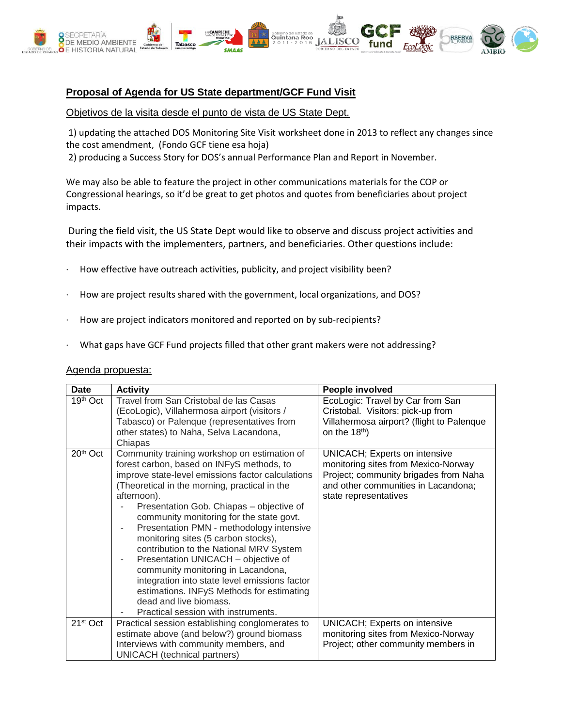

## **Proposal of Agenda for US State department/GCF Fund Visit**

## Objetivos de la visita desde el punto de vista de US State Dept.

1) updating the attached DOS Monitoring Site Visit worksheet done in 2013 to reflect any changes since the cost amendment, (Fondo GCF tiene esa hoja)

2) producing a Success Story for DOS's annual Performance Plan and Report in November.

We may also be able to feature the project in other communications materials for the COP or Congressional hearings, so it'd be great to get photos and quotes from beneficiaries about project impacts.

During the field visit, the US State Dept would like to observe and discuss project activities and their impacts with the implementers, partners, and beneficiaries. Other questions include:

- How effective have outreach activities, publicity, and project visibility been?
- · How are project results shared with the government, local organizations, and DOS?
- How are project indicators monitored and reported on by sub-recipients?
- What gaps have GCF Fund projects filled that other grant makers were not addressing?

## Agenda propuesta:

| <b>Date</b>          | <b>Activity</b>                                                                                                                                                                                                                                                                                                                                                                                                                                                                                                                                                                                                                                                                       | People involved                                                                                                                                                               |
|----------------------|---------------------------------------------------------------------------------------------------------------------------------------------------------------------------------------------------------------------------------------------------------------------------------------------------------------------------------------------------------------------------------------------------------------------------------------------------------------------------------------------------------------------------------------------------------------------------------------------------------------------------------------------------------------------------------------|-------------------------------------------------------------------------------------------------------------------------------------------------------------------------------|
| 19th Oct             | Travel from San Cristobal de las Casas<br>(EcoLogic), Villahermosa airport (visitors /<br>Tabasco) or Palenque (representatives from<br>other states) to Naha, Selva Lacandona,<br>Chiapas                                                                                                                                                                                                                                                                                                                                                                                                                                                                                            | EcoLogic: Travel by Car from San<br>Cristobal. Visitors: pick-up from<br>Villahermosa airport? (flight to Palenque<br>on the 18 <sup>th</sup> )                               |
| 20th Oct             | Community training workshop on estimation of<br>forest carbon, based on INFyS methods, to<br>improve state-level emissions factor calculations<br>(Theoretical in the morning, practical in the<br>afternoon).<br>Presentation Gob. Chiapas - objective of<br>community monitoring for the state govt.<br>Presentation PMN - methodology intensive<br>monitoring sites (5 carbon stocks),<br>contribution to the National MRV System<br>Presentation UNICACH - objective of<br>٠<br>community monitoring in Lacandona,<br>integration into state level emissions factor<br>estimations. INFyS Methods for estimating<br>dead and live biomass.<br>Practical session with instruments. | UNICACH; Experts on intensive<br>monitoring sites from Mexico-Norway<br>Project; community brigades from Naha<br>and other communities in Lacandona;<br>state representatives |
| 21 <sup>st</sup> Oct | Practical session establishing conglomerates to                                                                                                                                                                                                                                                                                                                                                                                                                                                                                                                                                                                                                                       | UNICACH; Experts on intensive                                                                                                                                                 |
|                      | estimate above (and below?) ground biomass                                                                                                                                                                                                                                                                                                                                                                                                                                                                                                                                                                                                                                            | monitoring sites from Mexico-Norway                                                                                                                                           |
|                      | Interviews with community members, and                                                                                                                                                                                                                                                                                                                                                                                                                                                                                                                                                                                                                                                | Project; other community members in                                                                                                                                           |
|                      | UNICACH (technical partners)                                                                                                                                                                                                                                                                                                                                                                                                                                                                                                                                                                                                                                                          |                                                                                                                                                                               |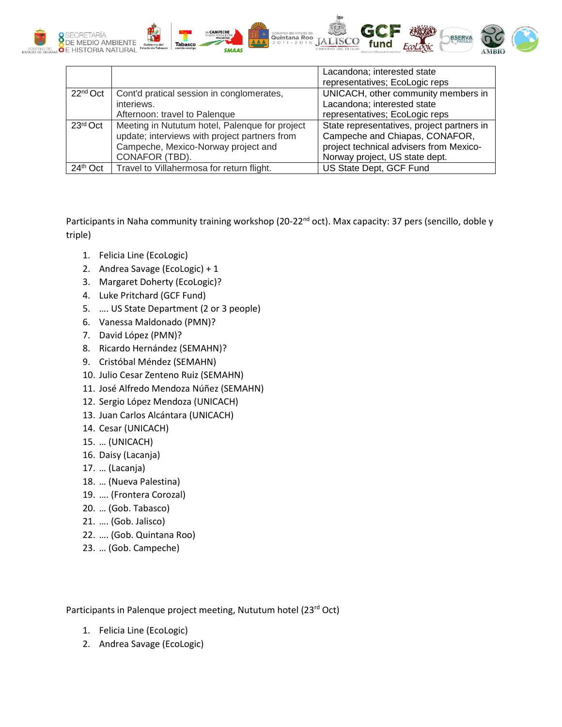

|                      |                                                | Lacandona; interested state                |
|----------------------|------------------------------------------------|--------------------------------------------|
|                      |                                                | representatives; EcoLogic reps             |
| 22 <sup>nd</sup> Oct | Cont'd pratical session in conglomerates,      | UNICACH, other community members in        |
|                      | interiews.                                     | Lacandona; interested state                |
|                      | Afternoon: travel to Palenque                  | representatives; EcoLogic reps             |
| $23rd$ Oct           | Meeting in Nututum hotel, Palenque for project | State representatives, project partners in |
|                      | update; interviews with project partners from  | Campeche and Chiapas, CONAFOR,             |
|                      | Campeche, Mexico-Norway project and            | project technical advisers from Mexico-    |
|                      | CONAFOR (TBD).                                 | Norway project, US state dept.             |
| 24th Oct             | Travel to Villahermosa for return flight.      | US State Dept, GCF Fund                    |

Participants in Naha community training workshop (20-22<sup>nd</sup> oct). Max capacity: 37 pers (sencillo, doble y triple)

- 1. Felicia Line (EcoLogic)
- 2. Andrea Savage (EcoLogic) + 1
- 3. Margaret Doherty (EcoLogic)?
- 4. Luke Pritchard (GCF Fund)
- 5. …. US State Department (2 or 3 people)
- 6. Vanessa Maldonado (PMN)?
- 7. David López (PMN)?
- 8. Ricardo Hernández (SEMAHN)?
- 9. Cristóbal Méndez (SEMAHN)
- 10. Julio Cesar Zenteno Ruiz (SEMAHN)
- 11. José Alfredo Mendoza Núñez (SEMAHN)
- 12. Sergio López Mendoza (UNICACH)
- 13. Juan Carlos Alcántara (UNICACH)
- 14. Cesar (UNICACH)
- 15. … (UNICACH)
- 16. Daisy (Lacanja)
- 17. … (Lacanja)
- 18. … (Nueva Palestina)
- 19. …. (Frontera Corozal)
- 20. … (Gob. Tabasco)
- 21. …. (Gob. Jalisco)
- 22. …. (Gob. Quintana Roo)
- 23. … (Gob. Campeche)

Participants in Palenque project meeting, Nututum hotel (23rd Oct)

- 1. Felicia Line (EcoLogic)
- 2. Andrea Savage (EcoLogic)